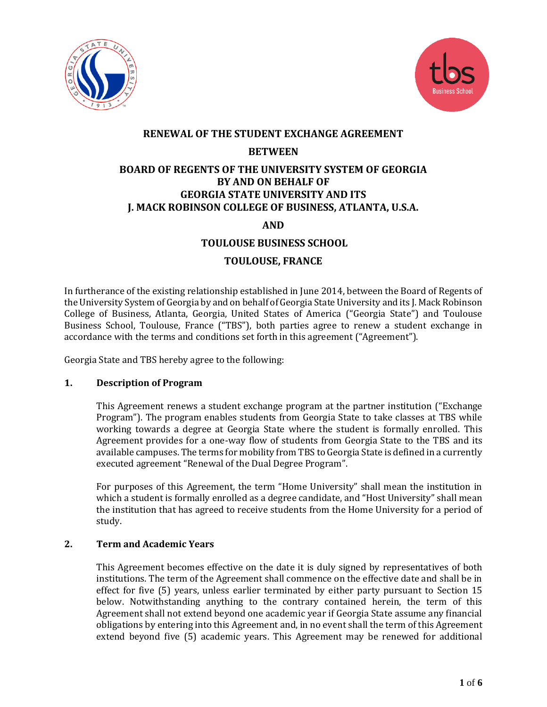



## **RENEWAL OF THE STUDENT EXCHANGE AGREEMENT**

## **BETWEEN**

# **BOARD OF REGENTS OF THE UNIVERSITY SYSTEM OF GEORGIA BY AND ON BEHALF OF GEORGIA STATE UNIVERSITY AND ITS J. MACK ROBINSON COLLEGE OF BUSINESS, ATLANTA, U.S.A.**

**AND**

# **TOULOUSE BUSINESS SCHOOL**

## **TOULOUSE, FRANCE**

In furtherance of the existing relationship established in June 2014, between the Board of Regents of the University System of Georgia by and on behalf of Georgia State University and its J. Mack Robinson College of Business, Atlanta, Georgia, United States of America ("Georgia State") and Toulouse Business School, Toulouse, France ("TBS"), both parties agree to renew a student exchange in accordance with the terms and conditions set forth in this agreement ("Agreement").

Georgia State and TBS hereby agree to the following:

## **1. Description of Program**

This Agreement renews a student exchange program at the partner institution ("Exchange Program"). The program enables students from Georgia State to take classes at TBS while working towards a degree at Georgia State where the student is formally enrolled. This Agreement provides for a one-way flow of students from Georgia State to the TBS and its available campuses. The terms for mobility from TBS to Georgia State is defined in a currently executed agreement "Renewal of the Dual Degree Program".

For purposes of this Agreement, the term "Home University" shall mean the institution in which a student is formally enrolled as a degree candidate, and "Host University" shall mean the institution that has agreed to receive students from the Home University for a period of study.

## **2. Term and Academic Years**

This Agreement becomes effective on the date it is duly signed by representatives of both institutions. The term of the Agreement shall commence on the effective date and shall be in effect for five (5) years, unless earlier terminated by either party pursuant to Section 15 below. Notwithstanding anything to the contrary contained herein, the term of this Agreement shall not extend beyond one academic year if Georgia State assume any financial obligations by entering into this Agreement and, in no event shall the term of this Agreement extend beyond five (5) academic years. This Agreement may be renewed for additional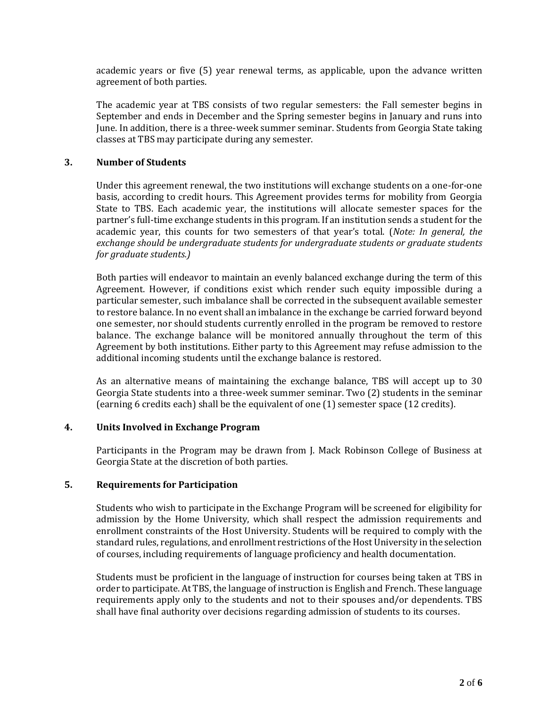academic years or five (5) year renewal terms, as applicable, upon the advance written agreement of both parties.

The academic year at TBS consists of two regular semesters: the Fall semester begins in September and ends in December and the Spring semester begins in January and runs into June. In addition, there is a three-week summer seminar. Students from Georgia State taking classes at TBS may participate during any semester.

#### **3. Number of Students**

Under this agreement renewal, the two institutions will exchange students on a one-for-one basis, according to credit hours. This Agreement provides terms for mobility from Georgia State to TBS. Each academic year, the institutions will allocate semester spaces for the partner's full-time exchange students in this program. If an institution sends a student for the academic year, this counts for two semesters of that year's total. (*Note: In general, the exchange should be undergraduate students for undergraduate students or graduate students for graduate students.)*

Both parties will endeavor to maintain an evenly balanced exchange during the term of this Agreement. However, if conditions exist which render such equity impossible during a particular semester, such imbalance shall be corrected in the subsequent available semester to restore balance. In no event shall an imbalance in the exchange be carried forward beyond one semester, nor should students currently enrolled in the program be removed to restore balance. The exchange balance will be monitored annually throughout the term of this Agreement by both institutions. Either party to this Agreement may refuse admission to the additional incoming students until the exchange balance is restored.

As an alternative means of maintaining the exchange balance, TBS will accept up to 30 Georgia State students into a three-week summer seminar. Two (2) students in the seminar (earning 6 credits each) shall be the equivalent of one (1) semester space (12 credits).

#### **4. Units Involved in Exchange Program**

Participants in the Program may be drawn from J. Mack Robinson College of Business at Georgia State at the discretion of both parties.

#### **5. Requirements for Participation**

Students who wish to participate in the Exchange Program will be screened for eligibility for admission by the Home University, which shall respect the admission requirements and enrollment constraints of the Host University. Students will be required to comply with the standard rules, regulations, and enrollment restrictions of the Host University in the selection of courses, including requirements of language proficiency and health documentation.

Students must be proficient in the language of instruction for courses being taken at TBS in order to participate. At TBS, the language of instruction is English and French. These language requirements apply only to the students and not to their spouses and/or dependents. TBS shall have final authority over decisions regarding admission of students to its courses.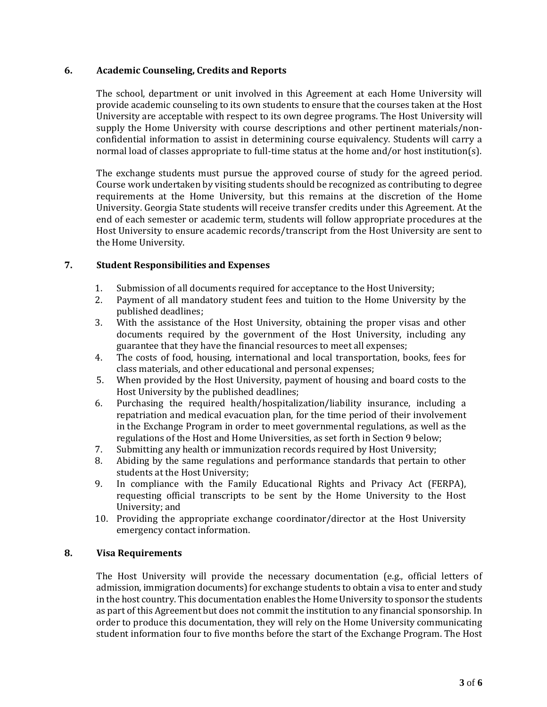#### **6. Academic Counseling, Credits and Reports**

The school, department or unit involved in this Agreement at each Home University will provide academic counseling to its own students to ensure that the courses taken at the Host University are acceptable with respect to its own degree programs. The Host University will supply the Home University with course descriptions and other pertinent materials/nonconfidential information to assist in determining course equivalency. Students will carry a normal load of classes appropriate to full-time status at the home and/or host institution(s).

The exchange students must pursue the approved course of study for the agreed period. Course work undertaken by visiting students should be recognized as contributing to degree requirements at the Home University, but this remains at the discretion of the Home University. Georgia State students will receive transfer credits under this Agreement. At the end of each semester or academic term, students will follow appropriate procedures at the Host University to ensure academic records/transcript from the Host University are sent to the Home University.

## **7. Student Responsibilities and Expenses**

- 1. Submission of all documents required for acceptance to the Host University;
- 2. Payment of all mandatory student fees and tuition to the Home University by the published deadlines;
- 3. With the assistance of the Host University, obtaining the proper visas and other documents required by the government of the Host University, including any guarantee that they have the financial resources to meet all expenses;
- 4. The costs of food, housing, international and local transportation, books, fees for class materials, and other educational and personal expenses;
- 5. When provided by the Host University, payment of housing and board costs to the Host University by the published deadlines;
- 6. Purchasing the required health/hospitalization/liability insurance, including a repatriation and medical evacuation plan, for the time period of their involvement in the Exchange Program in order to meet governmental regulations, as well as the regulations of the Host and Home Universities, as set forth in Section 9 below;
- 7. Submitting any health or immunization records required by Host University;
- 8. Abiding by the same regulations and performance standards that pertain to other students at the Host University;
- 9. In compliance with the Family Educational Rights and Privacy Act (FERPA), requesting official transcripts to be sent by the Home University to the Host University; and
- 10. Providing the appropriate exchange coordinator/director at the Host University emergency contact information.

#### **8. Visa Requirements**

The Host University will provide the necessary documentation (e.g., official letters of admission, immigration documents) for exchange students to obtain a visa to enter and study in the host country. This documentation enables the Home University to sponsor the students as part of this Agreement but does not commit the institution to any financial sponsorship. In order to produce this documentation, they will rely on the Home University communicating student information four to five months before the start of the Exchange Program. The Host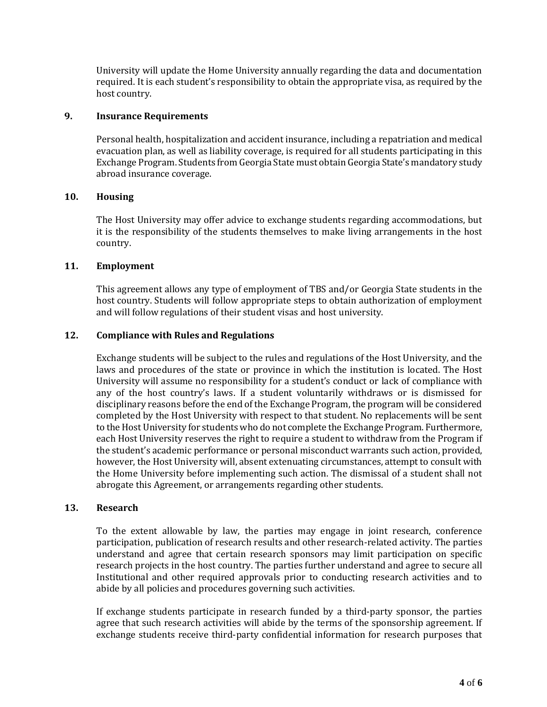University will update the Home University annually regarding the data and documentation required. It is each student's responsibility to obtain the appropriate visa, as required by the host country.

#### **9. Insurance Requirements**

Personal health, hospitalization and accident insurance, including a repatriation and medical evacuation plan, as well as liability coverage, is required for all students participating in this Exchange Program. Students from Georgia State must obtain Georgia State's mandatory study abroad insurance coverage.

## **10. Housing**

The Host University may offer advice to exchange students regarding accommodations, but it is the responsibility of the students themselves to make living arrangements in the host country.

### **11. Employment**

This agreement allows any type of employment of TBS and/or Georgia State students in the host country. Students will follow appropriate steps to obtain authorization of employment and will follow regulations of their student visas and host university.

### **12. Compliance with Rules and Regulations**

Exchange students will be subject to the rules and regulations of the Host University, and the laws and procedures of the state or province in which the institution is located. The Host University will assume no responsibility for a student's conduct or lack of compliance with any of the host country's laws. If a student voluntarily withdraws or is dismissed for disciplinary reasons before the end of the Exchange Program, the program will be considered completed by the Host University with respect to that student. No replacements will be sent to the Host University for students who do not complete the Exchange Program. Furthermore, each Host University reserves the right to require a student to withdraw from the Program if the student's academic performance or personal misconduct warrants such action, provided, however, the Host University will, absent extenuating circumstances, attempt to consult with the Home University before implementing such action. The dismissal of a student shall not abrogate this Agreement, or arrangements regarding other students.

#### **13. Research**

To the extent allowable by law, the parties may engage in joint research, conference participation, publication of research results and other research-related activity. The parties understand and agree that certain research sponsors may limit participation on specific research projects in the host country. The parties further understand and agree to secure all Institutional and other required approvals prior to conducting research activities and to abide by all policies and procedures governing such activities.

If exchange students participate in research funded by a third-party sponsor, the parties agree that such research activities will abide by the terms of the sponsorship agreement. If exchange students receive third-party confidential information for research purposes that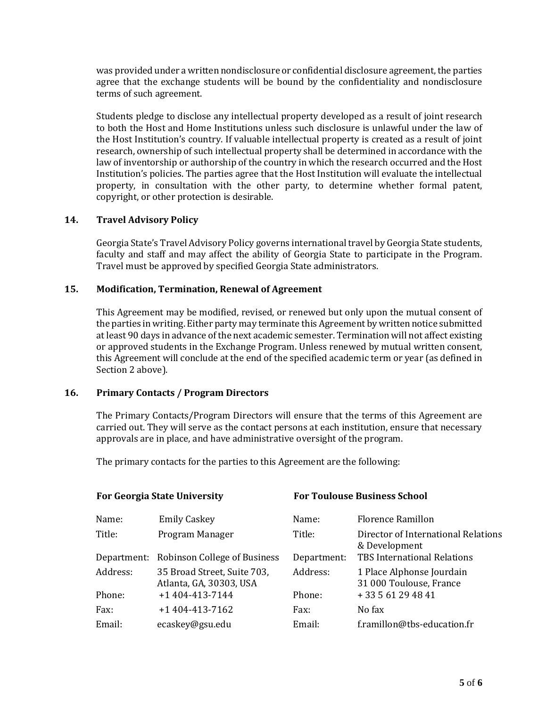was provided under a written nondisclosure or confidential disclosure agreement, the parties agree that the exchange students will be bound by the confidentiality and nondisclosure terms of such agreement.

Students pledge to disclose any intellectual property developed as a result of joint research to both the Host and Home Institutions unless such disclosure is unlawful under the law of the Host Institution's country. If valuable intellectual property is created as a result of joint research, ownership of such intellectual property shall be determined in accordance with the law of inventorship or authorship of the country in which the research occurred and the Host Institution's policies. The parties agree that the Host Institution will evaluate the intellectual property, in consultation with the other party, to determine whether formal patent, copyright, or other protection is desirable.

## **14. Travel Advisory Policy**

Georgia State's Travel Advisory Policy governs international travel by Georgia State students, faculty and staff and may affect the ability of Georgia State to participate in the Program. Travel must be approved by specified Georgia State administrators.

### **15. Modification, Termination, Renewal of Agreement**

This Agreement may be modified, revised, or renewed but only upon the mutual consent of the parties in writing. Either party may terminate this Agreement by written notice submitted at least 90 days in advance of the next academic semester. Termination will not affect existing or approved students in the Exchange Program. Unless renewed by mutual written consent, this Agreement will conclude at the end of the specified academic term or year (as defined in Section 2 above).

#### **16. Primary Contacts / Program Directors**

The Primary Contacts/Program Directors will ensure that the terms of this Agreement are carried out. They will serve as the contact persons at each institution, ensure that necessary approvals are in place, and have administrative oversight of the program.

The primary contacts for the parties to this Agreement are the following:

| <b>For Georgia State University</b> |                                                        | <b>For Toulouse Business School</b> |                                                      |
|-------------------------------------|--------------------------------------------------------|-------------------------------------|------------------------------------------------------|
| Name:                               | <b>Emily Caskey</b>                                    | Name:                               | Florence Ramillon                                    |
| Title:                              | Program Manager                                        | Title:                              | Director of International Relations<br>& Development |
|                                     | Department: Robinson College of Business               | Department:                         | <b>TBS International Relations</b>                   |
| Address:                            | 35 Broad Street, Suite 703,<br>Atlanta, GA, 30303, USA | Address:                            | 1 Place Alphonse Jourdain<br>31 000 Toulouse, France |
| Phone:                              | +1 404-413-7144                                        | Phone:                              | +33561294841                                         |
| Fax:                                | $+1$ 404-413-7162                                      | Fax:                                | No fax                                               |
| Email:                              | ecaskey@gsu.edu                                        | Email:                              | f.ramillon@tbs-education.fr                          |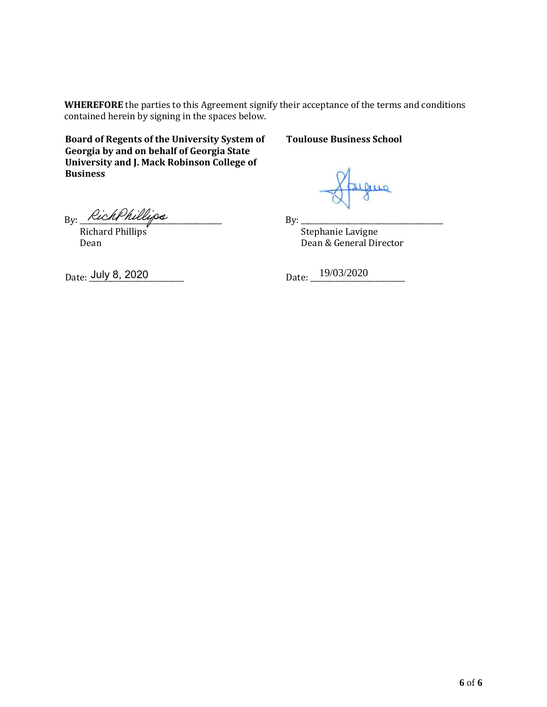**WHEREFORE** the parties to this Agreement signify their acceptance of the terms and conditions contained herein by signing in the spaces below.

**Board of Regents of the University System of Georgia by and on behalf of Georgia State University and J. Mack Robinson College of Business**

## **Toulouse Business School**

Derro

 $By:$ 

 Stephanie Lavigne Dean & General Director

 $By: \underline{\hspace{2cm}\textit{Neuchr} \textit{nueups}}$ 

 Richard Phillips Dean

Date: <u>July 8, 2020</u> 19/03/2020